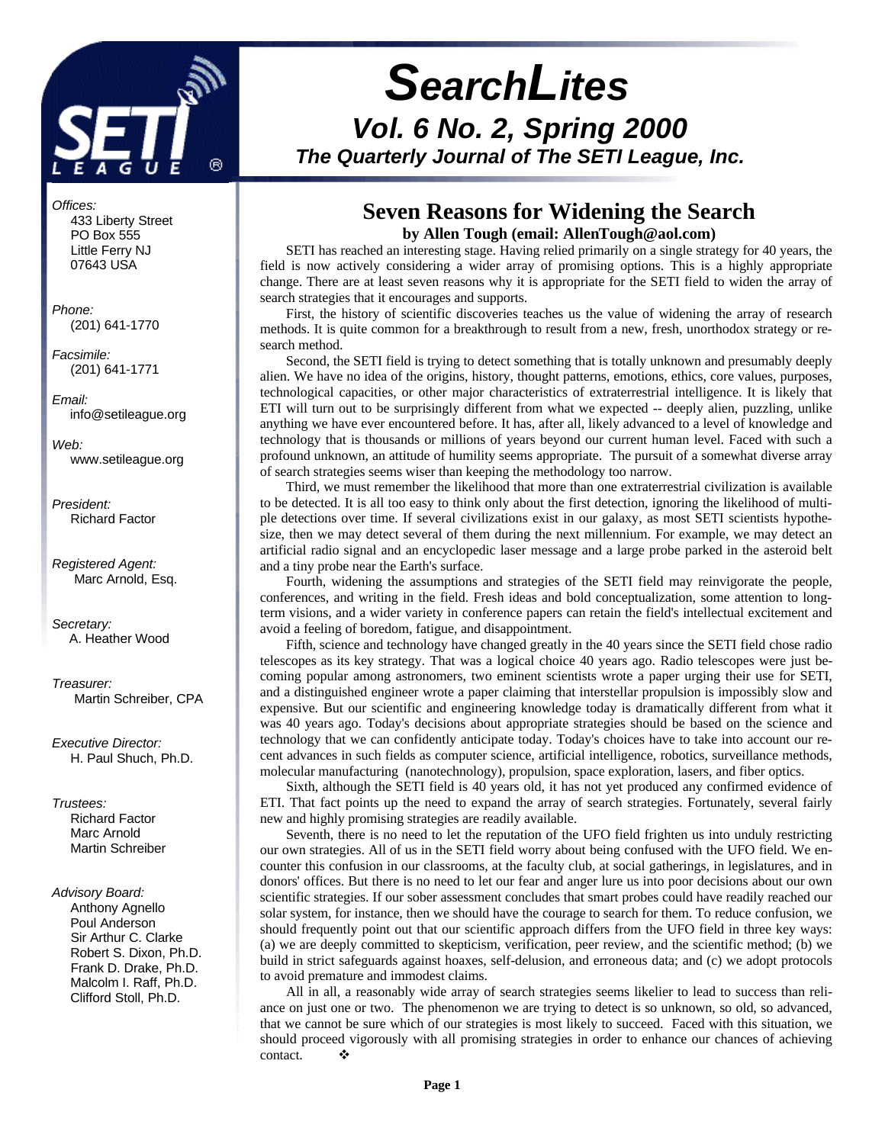

*Offices:* 433 Liberty Street PO Box 555 Little Ferry NJ 07643 USA

*Phone:* (201) 641-1770

*Facsimile:* (201) 641-1771

*Email:* info@setileague.org

*Web:* www.setileague.org

*President:* Richard Factor

*Registered Agent:* Marc Arnold, Esq.

*Secretary:* A. Heather Wood

*Treasurer:* Martin Schreiber, CPA

*Executive Director:* H. Paul Shuch, Ph.D.

*Trustees:*

**Richard Factor**  Marc Arnold Martin Schreiber

#### *Advisory Board:*

 Anthony Agnello Poul Anderson Sir Arthur C. Clarke Robert S. Dixon, Ph.D. Frank D. Drake, Ph.D. Malcolm I. Raff, Ph.D. Clifford Stoll, Ph.D.

# *SearchLites Vol. 6 No. 2, Spring 2000 The Quarterly Journal of The SETI League, Inc.*

## **Seven Reasons for Widening the Search by Allen Tough (email: AllenTough@aol.com)**

SETI has reached an interesting stage. Having relied primarily on a single strategy for 40 years, the field is now actively considering a wider array of promising options. This is a highly appropriate change. There are at least seven reasons why it is appropriate for the SETI field to widen the array of search strategies that it encourages and supports.

First, the history of scientific discoveries teaches us the value of widening the array of research methods. It is quite common for a breakthrough to result from a new, fresh, unorthodox strategy or research method.

Second, the SETI field is trying to detect something that is totally unknown and presumably deeply alien. We have no idea of the origins, history, thought patterns, emotions, ethics, core values, purposes, technological capacities, or other major characteristics of extraterrestrial intelligence. It is likely that ETI will turn out to be surprisingly different from what we expected -- deeply alien, puzzling, unlike anything we have ever encountered before. It has, after all, likely advanced to a level of knowledge and technology that is thousands or millions of years beyond our current human level. Faced with such a profound unknown, an attitude of humility seems appropriate. The pursuit of a somewhat diverse array of search strategies seems wiser than keeping the methodology too narrow.

Third, we must remember the likelihood that more than one extraterrestrial civilization is available to be detected. It is all too easy to think only about the first detection, ignoring the likelihood of multiple detections over time. If several civilizations exist in our galaxy, as most SETI scientists hypothesize, then we may detect several of them during the next millennium. For example, we may detect an artificial radio signal and an encyclopedic laser message and a large probe parked in the asteroid belt and a tiny probe near the Earth's surface.

Fourth, widening the assumptions and strategies of the SETI field may reinvigorate the people, conferences, and writing in the field. Fresh ideas and bold conceptualization, some attention to longterm visions, and a wider variety in conference papers can retain the field's intellectual excitement and avoid a feeling of boredom, fatigue, and disappointment.

Fifth, science and technology have changed greatly in the 40 years since the SETI field chose radio telescopes as its key strategy. That was a logical choice 40 years ago. Radio telescopes were just becoming popular among astronomers, two eminent scientists wrote a paper urging their use for SETI, and a distinguished engineer wrote a paper claiming that interstellar propulsion is impossibly slow and expensive. But our scientific and engineering knowledge today is dramatically different from what it was 40 years ago. Today's decisions about appropriate strategies should be based on the science and technology that we can confidently anticipate today. Today's choices have to take into account our recent advances in such fields as computer science, artificial intelligence, robotics, surveillance methods, molecular manufacturing (nanotechnology), propulsion, space exploration, lasers, and fiber optics.

Sixth, although the SETI field is 40 years old, it has not yet produced any confirmed evidence of ETI. That fact points up the need to expand the array of search strategies. Fortunately, several fairly new and highly promising strategies are readily available.

Seventh, there is no need to let the reputation of the UFO field frighten us into unduly restricting our own strategies. All of us in the SETI field worry about being confused with the UFO field. We encounter this confusion in our classrooms, at the faculty club, at social gatherings, in legislatures, and in donors' offices. But there is no need to let our fear and anger lure us into poor decisions about our own scientific strategies. If our sober assessment concludes that smart probes could have readily reached our solar system, for instance, then we should have the courage to search for them. To reduce confusion, we should frequently point out that our scientific approach differs from the UFO field in three key ways: (a) we are deeply committed to skepticism, verification, peer review, and the scientific method; (b) we build in strict safeguards against hoaxes, self-delusion, and erroneous data; and (c) we adopt protocols to avoid premature and immodest claims.

All in all, a reasonably wide array of search strategies seems likelier to lead to success than reliance on just one or two. The phenomenon we are trying to detect is so unknown, so old, so advanced, that we cannot be sure which of our strategies is most likely to succeed. Faced with this situation, we should proceed vigorously with all promising strategies in order to enhance our chances of achieving contact.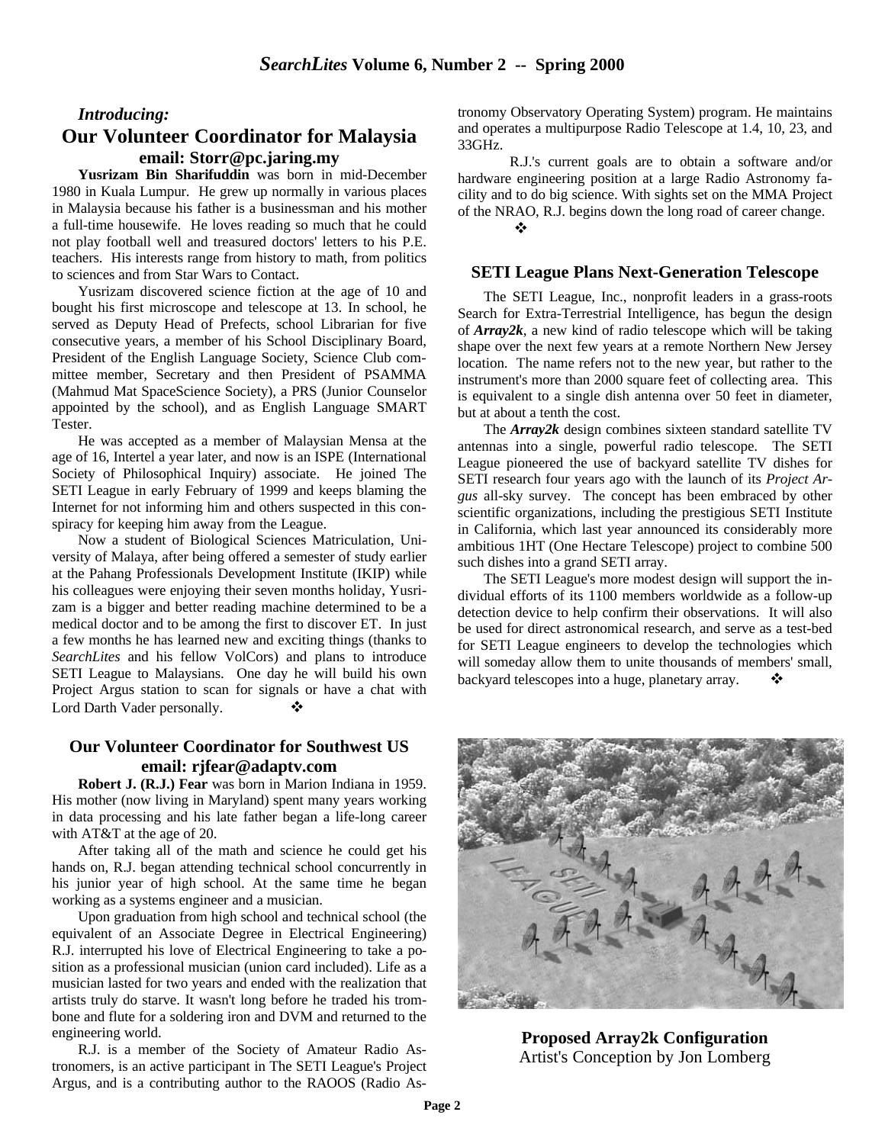#### *Introducing:*

## **Our Volunteer Coordinator for Malaysia email: Storr@pc.jaring.my**

**Yusrizam Bin Sharifuddin** was born in mid-December 1980 in Kuala Lumpur. He grew up normally in various places in Malaysia because his father is a businessman and his mother a full-time housewife. He loves reading so much that he could not play football well and treasured doctors' letters to his P.E. teachers. His interests range from history to math, from politics to sciences and from Star Wars to Contact.

Yusrizam discovered science fiction at the age of 10 and bought his first microscope and telescope at 13. In school, he served as Deputy Head of Prefects, school Librarian for five consecutive years, a member of his School Disciplinary Board, President of the English Language Society, Science Club committee member, Secretary and then President of PSAMMA (Mahmud Mat SpaceScience Society), a PRS (Junior Counselor appointed by the school), and as English Language SMART Tester.

He was accepted as a member of Malaysian Mensa at the age of 16, Intertel a year later, and now is an ISPE (International Society of Philosophical Inquiry) associate. He joined The SETI League in early February of 1999 and keeps blaming the Internet for not informing him and others suspected in this conspiracy for keeping him away from the League.

Now a student of Biological Sciences Matriculation, University of Malaya, after being offered a semester of study earlier at the Pahang Professionals Development Institute (IKIP) while his colleagues were enjoying their seven months holiday, Yusrizam is a bigger and better reading machine determined to be a medical doctor and to be among the first to discover ET. In just a few months he has learned new and exciting things (thanks to *SearchLites* and his fellow VolCors) and plans to introduce SETI League to Malaysians. One day he will build his own Project Argus station to scan for signals or have a chat with Lord Darth Vader personally.

## **Our Volunteer Coordinator for Southwest US email: rjfear@adaptv.com**

**Robert J. (R.J.) Fear** was born in Marion Indiana in 1959. His mother (now living in Maryland) spent many years working in data processing and his late father began a life-long career with AT&T at the age of 20.

After taking all of the math and science he could get his hands on, R.J. began attending technical school concurrently in his junior year of high school. At the same time he began working as a systems engineer and a musician.

Upon graduation from high school and technical school (the equivalent of an Associate Degree in Electrical Engineering) R.J. interrupted his love of Electrical Engineering to take a position as a professional musician (union card included). Life as a musician lasted for two years and ended with the realization that artists truly do starve. It wasn't long before he traded his trombone and flute for a soldering iron and DVM and returned to the engineering world.

R.J. is a member of the Society of Amateur Radio Astronomers, is an active participant in The SETI League's Project Argus, and is a contributing author to the RAOOS (Radio Astronomy Observatory Operating System) program. He maintains and operates a multipurpose Radio Telescope at 1.4, 10, 23, and 33GHz.

R.J.'s current goals are to obtain a software and/or hardware engineering position at a large Radio Astronomy facility and to do big science. With sights set on the MMA Project of the NRAO, R.J. begins down the long road of career change. v

**SETI League Plans Next-Generation Telescope**

The SETI League, Inc., nonprofit leaders in a grass-roots Search for Extra-Terrestrial Intelligence, has begun the design of *Array2k*, a new kind of radio telescope which will be taking shape over the next few years at a remote Northern New Jersey location. The name refers not to the new year, but rather to the instrument's more than 2000 square feet of collecting area. This is equivalent to a single dish antenna over 50 feet in diameter, but at about a tenth the cost.

The *Array2k* design combines sixteen standard satellite TV antennas into a single, powerful radio telescope. The SETI League pioneered the use of backyard satellite TV dishes for SETI research four years ago with the launch of its *Project Argus* all-sky survey. The concept has been embraced by other scientific organizations, including the prestigious SETI Institute in California, which last year announced its considerably more ambitious 1HT (One Hectare Telescope) project to combine 500 such dishes into a grand SETI array.

The SETI League's more modest design will support the individual efforts of its 1100 members worldwide as a follow-up detection device to help confirm their observations. It will also be used for direct astronomical research, and serve as a test-bed for SETI League engineers to develop the technologies which will someday allow them to unite thousands of members' small, backyard telescopes into a huge, planetary array.  $\bullet$ 



**Proposed Array2k Configuration** Artist's Conception by Jon Lomberg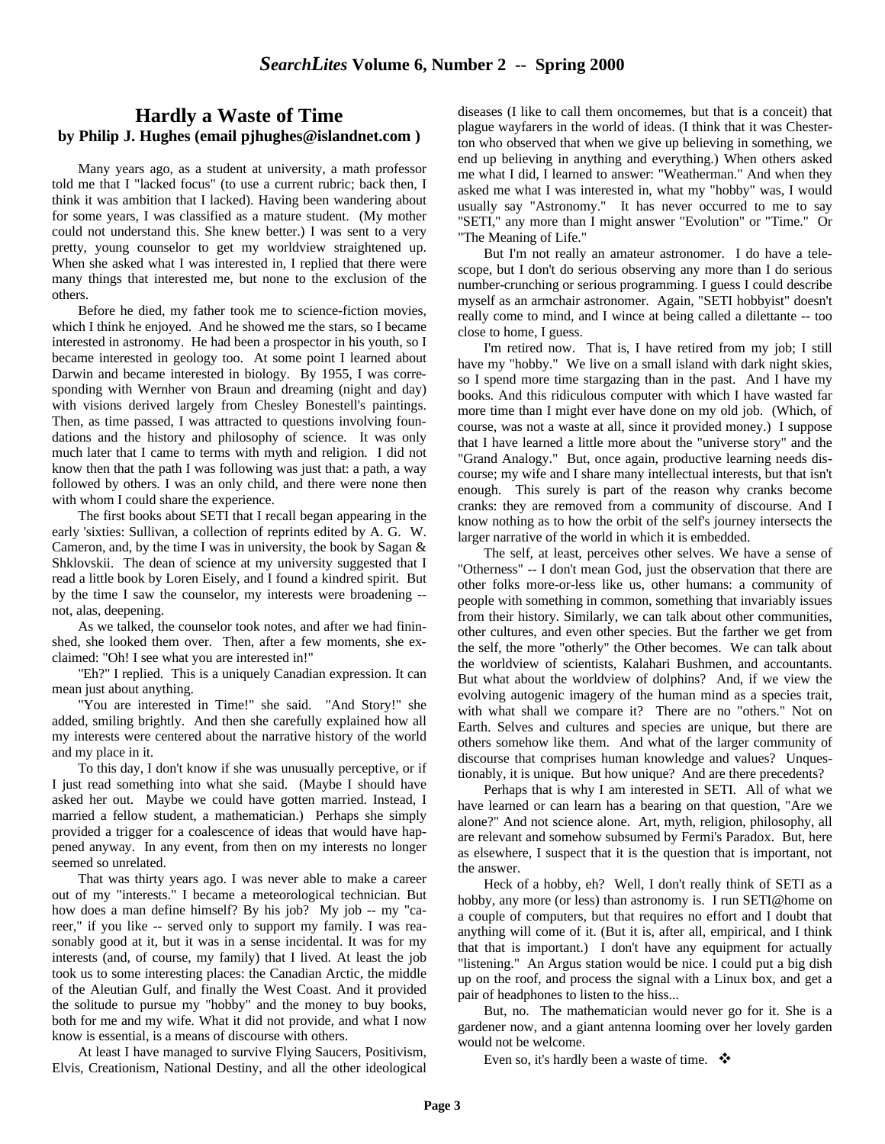## **Hardly a Waste of Time by Philip J. Hughes (email pjhughes@islandnet.com )**

Many years ago, as a student at university, a math professor told me that I "lacked focus" (to use a current rubric; back then, I think it was ambition that I lacked). Having been wandering about for some years, I was classified as a mature student. (My mother could not understand this. She knew better.) I was sent to a very pretty, young counselor to get my worldview straightened up. When she asked what I was interested in, I replied that there were many things that interested me, but none to the exclusion of the others.

Before he died, my father took me to science-fiction movies, which I think he enjoyed. And he showed me the stars, so I became interested in astronomy. He had been a prospector in his youth, so I became interested in geology too. At some point I learned about Darwin and became interested in biology. By 1955, I was corresponding with Wernher von Braun and dreaming (night and day) with visions derived largely from Chesley Bonestell's paintings. Then, as time passed, I was attracted to questions involving foundations and the history and philosophy of science. It was only much later that I came to terms with myth and religion. I did not know then that the path I was following was just that: a path, a way followed by others. I was an only child, and there were none then with whom I could share the experience.

The first books about SETI that I recall began appearing in the early 'sixties: Sullivan, a collection of reprints edited by A. G. W. Cameron, and, by the time I was in university, the book by Sagan & Shklovskii. The dean of science at my university suggested that I read a little book by Loren Eisely, and I found a kindred spirit. But by the time I saw the counselor, my interests were broadening - not, alas, deepening.

As we talked, the counselor took notes, and after we had fininshed, she looked them over. Then, after a few moments, she exclaimed: "Oh! I see what you are interested in!"

"Eh?" I replied. This is a uniquely Canadian expression. It can mean just about anything.

"You are interested in Time!" she said. "And Story!" she added, smiling brightly. And then she carefully explained how all my interests were centered about the narrative history of the world and my place in it.

To this day, I don't know if she was unusually perceptive, or if I just read something into what she said. (Maybe I should have asked her out. Maybe we could have gotten married. Instead, I married a fellow student, a mathematician.) Perhaps she simply provided a trigger for a coalescence of ideas that would have happened anyway. In any event, from then on my interests no longer seemed so unrelated.

That was thirty years ago. I was never able to make a career out of my "interests." I became a meteorological technician. But how does a man define himself? By his job? My job -- my "career," if you like -- served only to support my family. I was reasonably good at it, but it was in a sense incidental. It was for my interests (and, of course, my family) that I lived. At least the job took us to some interesting places: the Canadian Arctic, the middle of the Aleutian Gulf, and finally the West Coast. And it provided the solitude to pursue my "hobby" and the money to buy books, both for me and my wife. What it did not provide, and what I now know is essential, is a means of discourse with others.

At least I have managed to survive Flying Saucers, Positivism, Elvis, Creationism, National Destiny, and all the other ideological diseases (I like to call them oncomemes, but that is a conceit) that plague wayfarers in the world of ideas. (I think that it was Chesterton who observed that when we give up believing in something, we end up believing in anything and everything.) When others asked me what I did, I learned to answer: "Weatherman." And when they asked me what I was interested in, what my "hobby" was, I would usually say "Astronomy." It has never occurred to me to say "SETI," any more than I might answer "Evolution" or "Time." Or "The Meaning of Life."

But I'm not really an amateur astronomer. I do have a telescope, but I don't do serious observing any more than I do serious number-crunching or serious programming. I guess I could describe myself as an armchair astronomer. Again, "SETI hobbyist" doesn't really come to mind, and I wince at being called a dilettante -- too close to home, I guess.

I'm retired now. That is, I have retired from my job; I still have my "hobby." We live on a small island with dark night skies, so I spend more time stargazing than in the past. And I have my books. And this ridiculous computer with which I have wasted far more time than I might ever have done on my old job. (Which, of course, was not a waste at all, since it provided money.) I suppose that I have learned a little more about the "universe story" and the "Grand Analogy." But, once again, productive learning needs discourse; my wife and I share many intellectual interests, but that isn't enough. This surely is part of the reason why cranks become cranks: they are removed from a community of discourse. And I know nothing as to how the orbit of the self's journey intersects the larger narrative of the world in which it is embedded.

The self, at least, perceives other selves. We have a sense of "Otherness" -- I don't mean God, just the observation that there are other folks more-or-less like us, other humans: a community of people with something in common, something that invariably issues from their history. Similarly, we can talk about other communities, other cultures, and even other species. But the farther we get from the self, the more "otherly" the Other becomes. We can talk about the worldview of scientists, Kalahari Bushmen, and accountants. But what about the worldview of dolphins? And, if we view the evolving autogenic imagery of the human mind as a species trait, with what shall we compare it? There are no "others." Not on Earth. Selves and cultures and species are unique, but there are others somehow like them. And what of the larger community of discourse that comprises human knowledge and values? Unquestionably, it is unique. But how unique? And are there precedents?

Perhaps that is why I am interested in SETI. All of what we have learned or can learn has a bearing on that question, "Are we alone?" And not science alone. Art, myth, religion, philosophy, all are relevant and somehow subsumed by Fermi's Paradox. But, here as elsewhere, I suspect that it is the question that is important, not the answer.

Heck of a hobby, eh? Well, I don't really think of SETI as a hobby, any more (or less) than astronomy is. I run SETI@home on a couple of computers, but that requires no effort and I doubt that anything will come of it. (But it is, after all, empirical, and I think that that is important.) I don't have any equipment for actually "listening." An Argus station would be nice. I could put a big dish up on the roof, and process the signal with a Linux box, and get a pair of headphones to listen to the hiss...

But, no. The mathematician would never go for it. She is a gardener now, and a giant antenna looming over her lovely garden would not be welcome.

Even so, it's hardly been a waste of time.  $\mathbf{\hat{\cdot}}$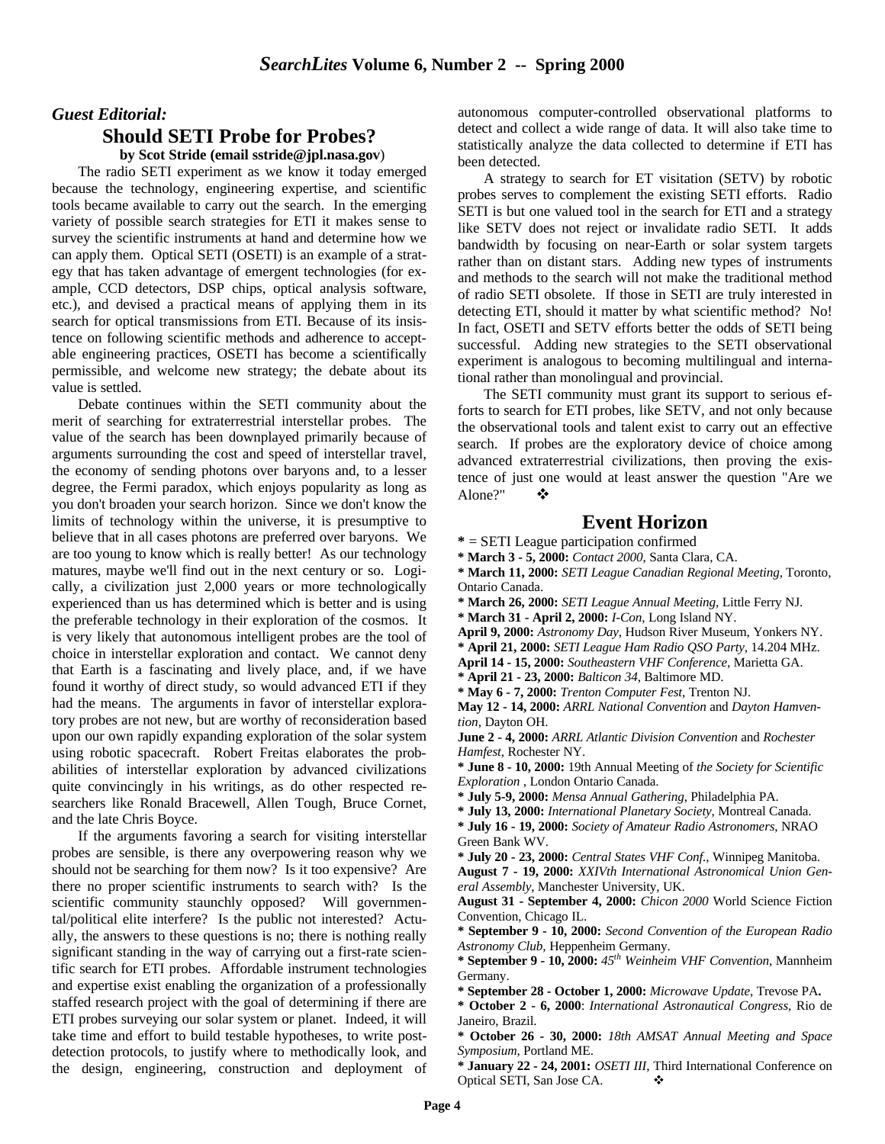## *Guest Editorial:* **Should SETI Probe for Probes?**

#### **by Scot Stride (email sstride@jpl.nasa.gov**)

The radio SETI experiment as we know it today emerged because the technology, engineering expertise, and scientific tools became available to carry out the search. In the emerging variety of possible search strategies for ETI it makes sense to survey the scientific instruments at hand and determine how we can apply them. Optical SETI (OSETI) is an example of a strategy that has taken advantage of emergent technologies (for example, CCD detectors, DSP chips, optical analysis software, etc.), and devised a practical means of applying them in its search for optical transmissions from ETI. Because of its insistence on following scientific methods and adherence to acceptable engineering practices, OSETI has become a scientifically permissible, and welcome new strategy; the debate about its value is settled.

Debate continues within the SETI community about the merit of searching for extraterrestrial interstellar probes. The value of the search has been downplayed primarily because of arguments surrounding the cost and speed of interstellar travel, the economy of sending photons over baryons and, to a lesser degree, the Fermi paradox, which enjoys popularity as long as you don't broaden your search horizon. Since we don't know the limits of technology within the universe, it is presumptive to believe that in all cases photons are preferred over baryons. We are too young to know which is really better! As our technology matures, maybe we'll find out in the next century or so. Logically, a civilization just 2,000 years or more technologically experienced than us has determined which is better and is using the preferable technology in their exploration of the cosmos. It is very likely that autonomous intelligent probes are the tool of choice in interstellar exploration and contact. We cannot deny that Earth is a fascinating and lively place, and, if we have found it worthy of direct study, so would advanced ETI if they had the means. The arguments in favor of interstellar exploratory probes are not new, but are worthy of reconsideration based upon our own rapidly expanding exploration of the solar system using robotic spacecraft. Robert Freitas elaborates the probabilities of interstellar exploration by advanced civilizations quite convincingly in his writings, as do other respected researchers like Ronald Bracewell, Allen Tough, Bruce Cornet, and the late Chris Boyce.

If the arguments favoring a search for visiting interstellar probes are sensible, is there any overpowering reason why we should not be searching for them now? Is it too expensive? Are there no proper scientific instruments to search with? Is the scientific community staunchly opposed? Will governmental/political elite interfere? Is the public not interested? Actually, the answers to these questions is no; there is nothing really significant standing in the way of carrying out a first-rate scientific search for ETI probes. Affordable instrument technologies and expertise exist enabling the organization of a professionally staffed research project with the goal of determining if there are ETI probes surveying our solar system or planet. Indeed, it will take time and effort to build testable hypotheses, to write postdetection protocols, to justify where to methodically look, and the design, engineering, construction and deployment of autonomous computer-controlled observational platforms to detect and collect a wide range of data. It will also take time to statistically analyze the data collected to determine if ETI has been detected.

A strategy to search for ET visitation (SETV) by robotic probes serves to complement the existing SETI efforts. Radio SETI is but one valued tool in the search for ETI and a strategy like SETV does not reject or invalidate radio SETI. It adds bandwidth by focusing on near-Earth or solar system targets rather than on distant stars. Adding new types of instruments and methods to the search will not make the traditional method of radio SETI obsolete. If those in SETI are truly interested in detecting ETI, should it matter by what scientific method? No! In fact, OSETI and SETV efforts better the odds of SETI being successful. Adding new strategies to the SETI observational experiment is analogous to becoming multilingual and international rather than monolingual and provincial.

The SETI community must grant its support to serious efforts to search for ETI probes, like SETV, and not only because the observational tools and talent exist to carry out an effective search. If probes are the exploratory device of choice among advanced extraterrestrial civilizations, then proving the existence of just one would at least answer the question "Are we Alone?"  $\mathbf{\hat{\cdot}}$ 

#### **Event Horizon**

- **\*** = SETI League participation confirmed
- **\* March 3 5, 2000:** *Contact 2000*, Santa Clara, CA.

**\* March 11, 2000:** *SETI League Canadian Regional Meeting*, Toronto, Ontario Canada.

- **\* March 26, 2000:** *SETI League Annual Meeting,* Little Ferry NJ.
- **\* March 31 April 2, 2000:** *I-Con*, Long Island NY.
- **April 9, 2000:** *Astronomy Day*, Hudson River Museum, Yonkers NY.
- **\* April 21, 2000:** *SETI League Ham Radio QSO Party*, 14.204 MHz.
- **April 14 15, 2000:** *Southeastern VHF Conference*, Marietta GA.

**\* April 21 - 23, 2000:** *Balticon 34*, Baltimore MD.

- **\* May 6 7, 2000:** *Trenton Computer Fest*, Trenton NJ.
- **May 12 14, 2000:** *ARRL National Convention* and *Dayton Hamvention*, Dayton OH.
- **June 2 4, 2000:** *ARRL Atlantic Division Convention* and *Rochester Hamfest*, Rochester NY.
- **\* June 8 10, 2000:** 19th Annual Meeting of *the Society for Scientific Exploration* , London Ontario Canada.
- **\* July 5-9, 2000:** *Mensa Annual Gathering*, Philadelphia PA.
- **\* July 13, 2000:** *International Planetary Society*, Montreal Canada.
- **\* July 16 19, 2000:** *Society of Amateur Radio Astronomers*, NRAO Green Bank WV.
- **\* July 20 23, 2000:** *Central States VHF Conf.*, Winnipeg Manitoba. **August 7 - 19, 2000:** *XXIVth International Astronomical Union General Assembly*, Manchester University, UK.
- **August 31 September 4, 2000:** *Chicon 2000* World Science Fiction Convention, Chicago IL.
- **\* September 9 10, 2000:** *Second Convention of the European Radio Astronomy Club*, Heppenheim Germany.
- **\* September 9 10, 2000:** *45th Weinheim VHF Convention*, Mannheim Germany.
- **\* September 28 October 1, 2000:** *Microwave Update*, Trevose PA**.**
- **\* October 2 6, 2000**: *International Astronautical Congress*, Rio de Janeiro, Brazil.
- **\* October 26 30, 2000:** *18th AMSAT Annual Meeting and Space Symposium*, Portland ME.
- **\* January 22 24, 2001:** *OSETI III*, Third International Conference on Optical SETI, San Jose CA. v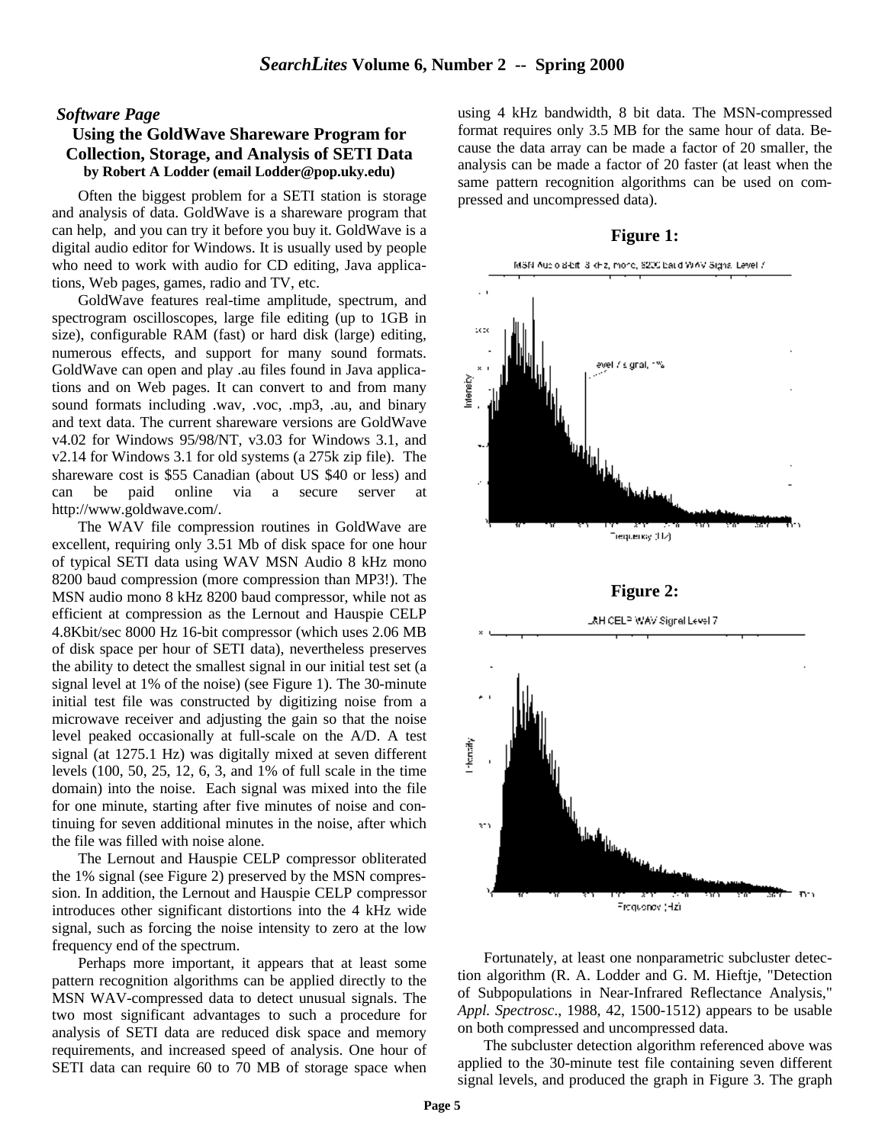#### *Software Page*

### **Using the GoldWave Shareware Program for Collection, Storage, and Analysis of SETI Data by Robert A Lodder (email Lodder@pop.uky.edu)**

Often the biggest problem for a SETI station is storage and analysis of data. GoldWave is a shareware program that can help, and you can try it before you buy it. GoldWave is a digital audio editor for Windows. It is usually used by people who need to work with audio for CD editing, Java applications, Web pages, games, radio and TV, etc.

GoldWave features real-time amplitude, spectrum, and spectrogram oscilloscopes, large file editing (up to 1GB in size), configurable RAM (fast) or hard disk (large) editing, numerous effects, and support for many sound formats. GoldWave can open and play .au files found in Java applications and on Web pages. It can convert to and from many sound formats including .wav, .voc, .mp3, .au, and binary and text data. The current shareware versions are GoldWave v4.02 for Windows 95/98/NT, v3.03 for Windows 3.1, and v2.14 for Windows 3.1 for old systems (a 275k zip file). The shareware cost is \$55 Canadian (about US \$40 or less) and can be paid online via a secure server at http://www.goldwave.com/.

The WAV file compression routines in GoldWave are excellent, requiring only 3.51 Mb of disk space for one hour of typical SETI data using WAV MSN Audio 8 kHz mono 8200 baud compression (more compression than MP3!). The MSN audio mono 8 kHz 8200 baud compressor, while not as efficient at compression as the Lernout and Hauspie CELP 4.8Kbit/sec 8000 Hz 16-bit compressor (which uses 2.06 MB of disk space per hour of SETI data), nevertheless preserves the ability to detect the smallest signal in our initial test set (a signal level at 1% of the noise) (see Figure 1). The 30-minute initial test file was constructed by digitizing noise from a microwave receiver and adjusting the gain so that the noise level peaked occasionally at full-scale on the A/D. A test signal (at 1275.1 Hz) was digitally mixed at seven different levels (100, 50, 25, 12, 6, 3, and 1% of full scale in the time domain) into the noise. Each signal was mixed into the file for one minute, starting after five minutes of noise and continuing for seven additional minutes in the noise, after which the file was filled with noise alone.

The Lernout and Hauspie CELP compressor obliterated the 1% signal (see Figure 2) preserved by the MSN compression. In addition, the Lernout and Hauspie CELP compressor introduces other significant distortions into the 4 kHz wide signal, such as forcing the noise intensity to zero at the low frequency end of the spectrum.

Perhaps more important, it appears that at least some pattern recognition algorithms can be applied directly to the MSN WAV-compressed data to detect unusual signals. The two most significant advantages to such a procedure for analysis of SETI data are reduced disk space and memory requirements, and increased speed of analysis. One hour of SETI data can require 60 to 70 MB of storage space when using 4 kHz bandwidth, 8 bit data. The MSN-compressed format requires only 3.5 MB for the same hour of data. Because the data array can be made a factor of 20 smaller, the analysis can be made a factor of 20 faster (at least when the same pattern recognition algorithms can be used on compressed and uncompressed data).

#### **Figure 1:**



Fortunately, at least one nonparametric subcluster detection algorithm (R. A. Lodder and G. M. Hieftje, "Detection of Subpopulations in Near-Infrared Reflectance Analysis," *Appl. Spectrosc*., 1988, 42, 1500-1512) appears to be usable on both compressed and uncompressed data.

The subcluster detection algorithm referenced above was applied to the 30-minute test file containing seven different signal levels, and produced the graph in Figure 3. The graph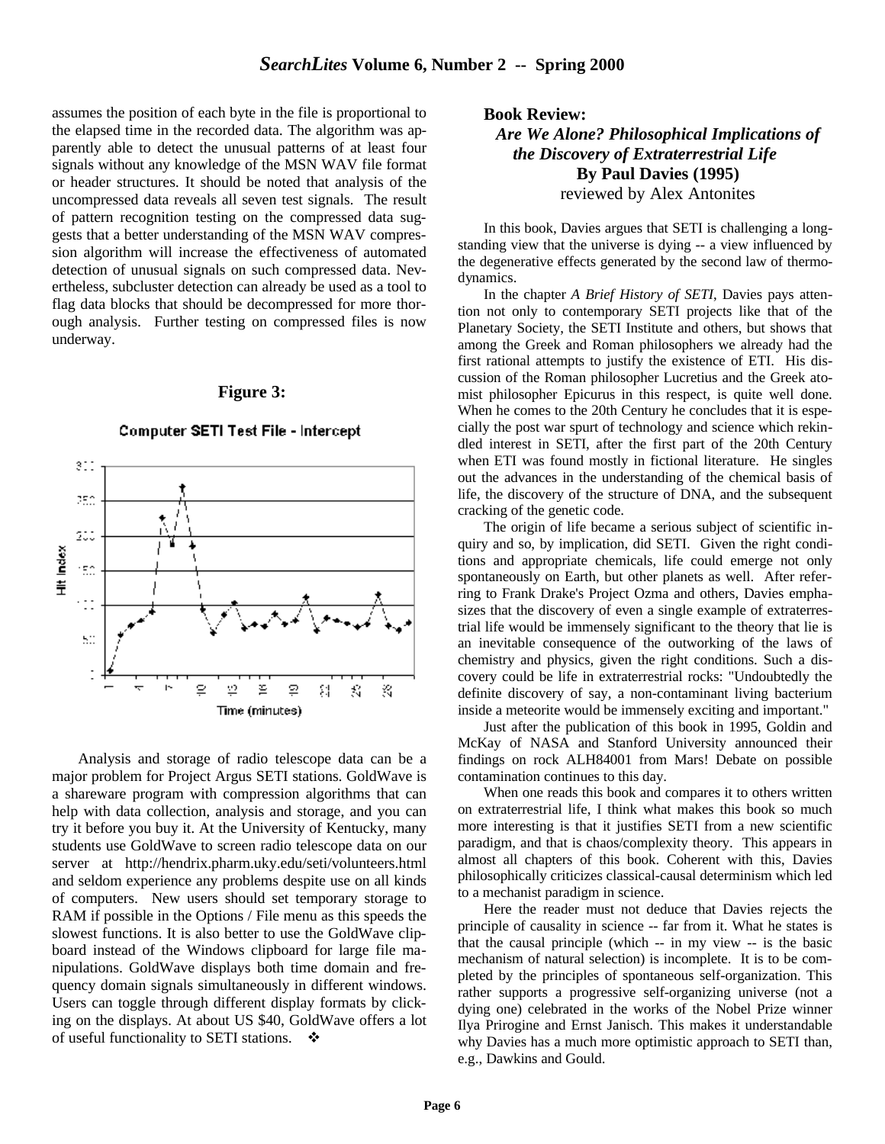assumes the position of each byte in the file is proportional to the elapsed time in the recorded data. The algorithm was apparently able to detect the unusual patterns of at least four signals without any knowledge of the MSN WAV file format or header structures. It should be noted that analysis of the uncompressed data reveals all seven test signals. The result of pattern recognition testing on the compressed data suggests that a better understanding of the MSN WAV compression algorithm will increase the effectiveness of automated detection of unusual signals on such compressed data. Nevertheless, subcluster detection can already be used as a tool to flag data blocks that should be decompressed for more thorough analysis. Further testing on compressed files is now underway.

#### **Figure 3:**

#### Computer SETI Test File - Intercept



Analysis and storage of radio telescope data can be a major problem for Project Argus SETI stations. GoldWave is a shareware program with compression algorithms that can help with data collection, analysis and storage, and you can try it before you buy it. At the University of Kentucky, many students use GoldWave to screen radio telescope data on our server at http://hendrix.pharm.uky.edu/seti/volunteers.html and seldom experience any problems despite use on all kinds of computers. New users should set temporary storage to RAM if possible in the Options / File menu as this speeds the slowest functions. It is also better to use the GoldWave clipboard instead of the Windows clipboard for large file manipulations. GoldWave displays both time domain and frequency domain signals simultaneously in different windows. Users can toggle through different display formats by clicking on the displays. At about US \$40, GoldWave offers a lot of useful functionality to SETI stations.  $\cdot$ 

#### **Book Review:**

*Are We Alone? Philosophical Implications of the Discovery of Extraterrestrial Life* **By Paul Davies (1995)** reviewed by Alex Antonites

In this book, Davies argues that SETI is challenging a longstanding view that the universe is dying -- a view influenced by the degenerative effects generated by the second law of thermodynamics.

In the chapter *A Brief History of SETI*, Davies pays attention not only to contemporary SETI projects like that of the Planetary Society, the SETI Institute and others, but shows that among the Greek and Roman philosophers we already had the first rational attempts to justify the existence of ETI. His discussion of the Roman philosopher Lucretius and the Greek atomist philosopher Epicurus in this respect, is quite well done. When he comes to the 20th Century he concludes that it is especially the post war spurt of technology and science which rekindled interest in SETI, after the first part of the 20th Century when ETI was found mostly in fictional literature. He singles out the advances in the understanding of the chemical basis of life, the discovery of the structure of DNA, and the subsequent cracking of the genetic code.

The origin of life became a serious subject of scientific inquiry and so, by implication, did SETI. Given the right conditions and appropriate chemicals, life could emerge not only spontaneously on Earth, but other planets as well. After referring to Frank Drake's Project Ozma and others, Davies emphasizes that the discovery of even a single example of extraterrestrial life would be immensely significant to the theory that lie is an inevitable consequence of the outworking of the laws of chemistry and physics, given the right conditions. Such a discovery could be life in extraterrestrial rocks: "Undoubtedly the definite discovery of say, a non-contaminant living bacterium inside a meteorite would be immensely exciting and important."

Just after the publication of this book in 1995, Goldin and McKay of NASA and Stanford University announced their findings on rock ALH84001 from Mars! Debate on possible contamination continues to this day.

When one reads this book and compares it to others written on extraterrestrial life, I think what makes this book so much more interesting is that it justifies SETI from a new scientific paradigm, and that is chaos/complexity theory. This appears in almost all chapters of this book. Coherent with this, Davies philosophically criticizes classical-causal determinism which led to a mechanist paradigm in science.

Here the reader must not deduce that Davies rejects the principle of causality in science -- far from it. What he states is that the causal principle (which -- in my view -- is the basic mechanism of natural selection) is incomplete. It is to be completed by the principles of spontaneous self-organization. This rather supports a progressive self-organizing universe (not a dying one) celebrated in the works of the Nobel Prize winner Ilya Prirogine and Ernst Janisch. This makes it understandable why Davies has a much more optimistic approach to SETI than, e.g., Dawkins and Gould.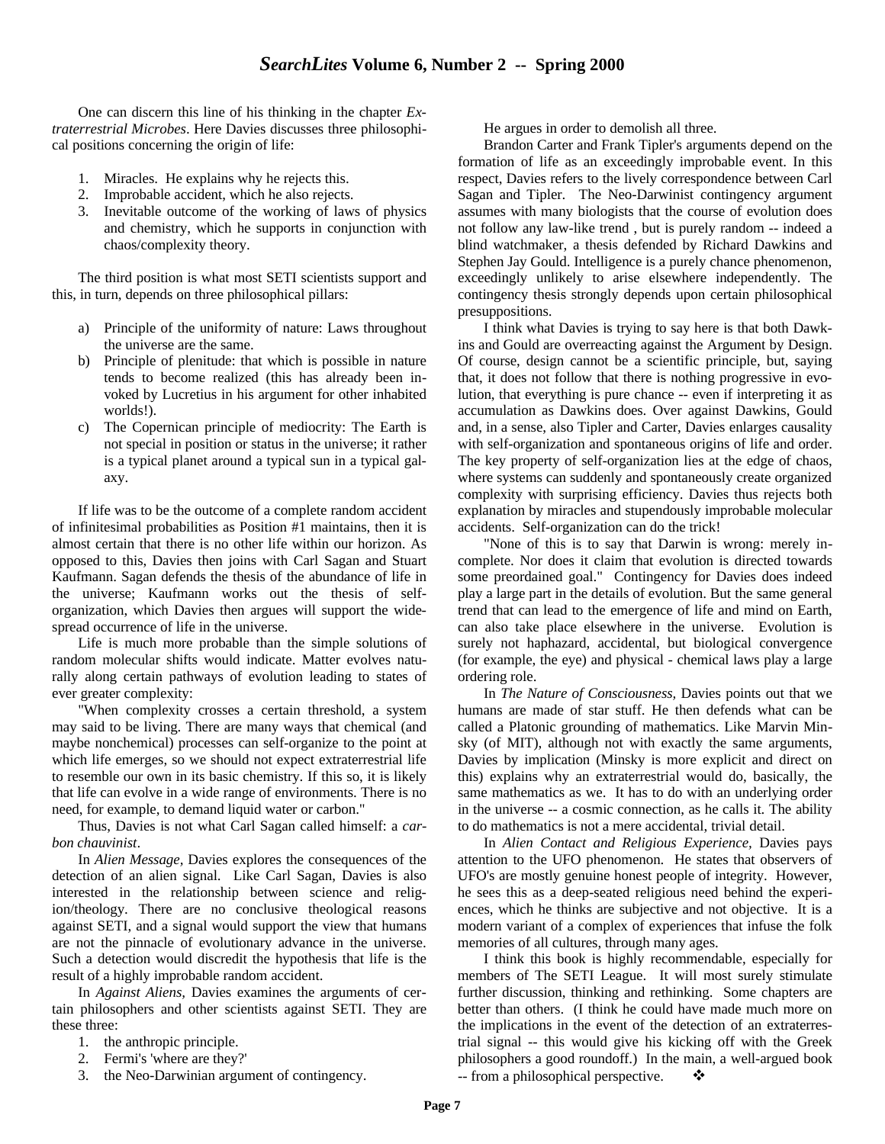One can discern this line of his thinking in the chapter *Extraterrestrial Microbes*. Here Davies discusses three philosophical positions concerning the origin of life:

- 1. Miracles. He explains why he rejects this.
- 2. Improbable accident, which he also rejects.
- 3. Inevitable outcome of the working of laws of physics and chemistry, which he supports in conjunction with chaos/complexity theory.

The third position is what most SETI scientists support and this, in turn, depends on three philosophical pillars:

- a) Principle of the uniformity of nature: Laws throughout the universe are the same.
- b) Principle of plenitude: that which is possible in nature tends to become realized (this has already been invoked by Lucretius in his argument for other inhabited worlds!).
- c) The Copernican principle of mediocrity: The Earth is not special in position or status in the universe; it rather is a typical planet around a typical sun in a typical galaxy.

If life was to be the outcome of a complete random accident of infinitesimal probabilities as Position #1 maintains, then it is almost certain that there is no other life within our horizon. As opposed to this, Davies then joins with Carl Sagan and Stuart Kaufmann. Sagan defends the thesis of the abundance of life in the universe; Kaufmann works out the thesis of selforganization, which Davies then argues will support the widespread occurrence of life in the universe.

Life is much more probable than the simple solutions of random molecular shifts would indicate. Matter evolves naturally along certain pathways of evolution leading to states of ever greater complexity:

"When complexity crosses a certain threshold, a system may said to be living. There are many ways that chemical (and maybe nonchemical) processes can self-organize to the point at which life emerges, so we should not expect extraterrestrial life to resemble our own in its basic chemistry. If this so, it is likely that life can evolve in a wide range of environments. There is no need, for example, to demand liquid water or carbon."

Thus, Davies is not what Carl Sagan called himself: a *carbon chauvinist*.

In *Alien Message,* Davies explores the consequences of the detection of an alien signal. Like Carl Sagan, Davies is also interested in the relationship between science and religion/theology. There are no conclusive theological reasons against SETI, and a signal would support the view that humans are not the pinnacle of evolutionary advance in the universe. Such a detection would discredit the hypothesis that life is the result of a highly improbable random accident.

In *Against Aliens,* Davies examines the arguments of certain philosophers and other scientists against SETI. They are these three:

- 1. the anthropic principle.
- 2. Fermi's 'where are they?'
- 3. the Neo-Darwinian argument of contingency.

He argues in order to demolish all three.

Brandon Carter and Frank Tipler's arguments depend on the formation of life as an exceedingly improbable event. In this respect, Davies refers to the lively correspondence between Carl Sagan and Tipler. The Neo-Darwinist contingency argument assumes with many biologists that the course of evolution does not follow any law-like trend , but is purely random -- indeed a blind watchmaker, a thesis defended by Richard Dawkins and Stephen Jay Gould. Intelligence is a purely chance phenomenon, exceedingly unlikely to arise elsewhere independently. The contingency thesis strongly depends upon certain philosophical presuppositions.

I think what Davies is trying to say here is that both Dawkins and Gould are overreacting against the Argument by Design. Of course, design cannot be a scientific principle, but, saying that, it does not follow that there is nothing progressive in evolution, that everything is pure chance -- even if interpreting it as accumulation as Dawkins does. Over against Dawkins, Gould and, in a sense, also Tipler and Carter, Davies enlarges causality with self-organization and spontaneous origins of life and order. The key property of self-organization lies at the edge of chaos, where systems can suddenly and spontaneously create organized complexity with surprising efficiency. Davies thus rejects both explanation by miracles and stupendously improbable molecular accidents. Self-organization can do the trick!

"None of this is to say that Darwin is wrong: merely incomplete. Nor does it claim that evolution is directed towards some preordained goal." Contingency for Davies does indeed play a large part in the details of evolution. But the same general trend that can lead to the emergence of life and mind on Earth, can also take place elsewhere in the universe. Evolution is surely not haphazard, accidental, but biological convergence (for example, the eye) and physical - chemical laws play a large ordering role.

In *The Nature of Consciousness,* Davies points out that we humans are made of star stuff. He then defends what can be called a Platonic grounding of mathematics. Like Marvin Minsky (of MIT), although not with exactly the same arguments, Davies by implication (Minsky is more explicit and direct on this) explains why an extraterrestrial would do, basically, the same mathematics as we. It has to do with an underlying order in the universe -- a cosmic connection, as he calls it. The ability to do mathematics is not a mere accidental, trivial detail.

In *Alien Contact and Religious Experience,* Davies pays attention to the UFO phenomenon. He states that observers of UFO's are mostly genuine honest people of integrity. However, he sees this as a deep-seated religious need behind the experiences, which he thinks are subjective and not objective. It is a modern variant of a complex of experiences that infuse the folk memories of all cultures, through many ages.

I think this book is highly recommendable, especially for members of The SETI League. It will most surely stimulate further discussion, thinking and rethinking. Some chapters are better than others. (I think he could have made much more on the implications in the event of the detection of an extraterrestrial signal -- this would give his kicking off with the Greek philosophers a good roundoff.) In the main, a well-argued book  $\div$  from a philosophical perspective.  $\cdot \cdot \cdot$